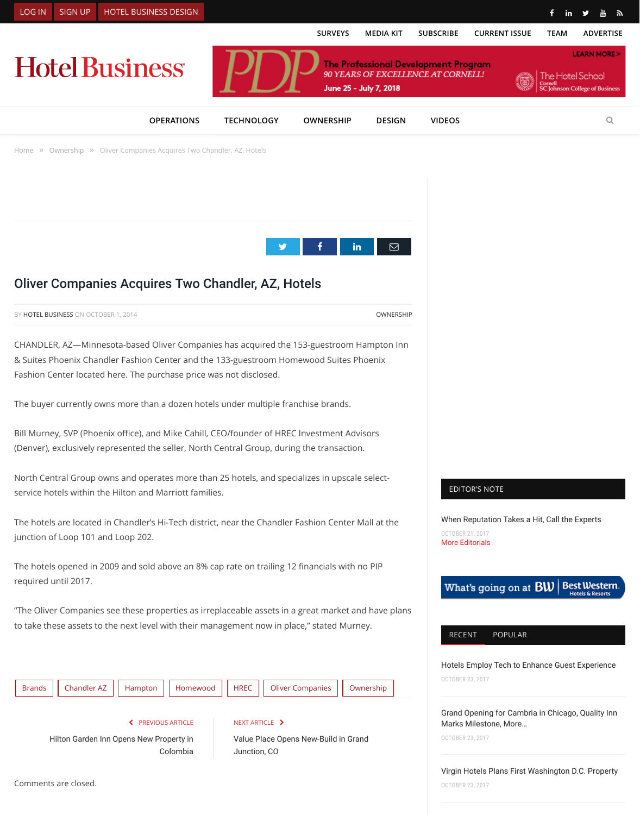F[ashion](https://www.hotelbusiness.com/wp-login.php?redirect_to=/oliver-companies-acquires-two-chandler-az-hotels/) Ce[nter loca](http://www.hotelbusiness.com/subscribe/?path=signup)te[d here. The purchase pric](http://www.hotelbusinessdesign.com/)e was not disclosed.

The buyer currently owns more than a dozen hotels under multiple franchis[e brands.](https://www.hotelbusiness.com/surveys/)

[Bill Murney, SVP \(Phoenix o](https://www.hotelbusiness.com/)ffice), and Mike Cahill, CEO/founder of HREC Investment / (Denver), exclusively represented the seller, North Central Group, during the transac

North Central Group owns and [operates more tha](https://www.hotelbusiness.com/category/operations/)[n 25 hotels, and spe](https://www.hotelbusiness.com/category/technology/)cializes in ups service hotels within the Hilton and Marriott families.

[The h](https://www.hotelbusiness.com/)ote[ls are loc](https://www.hotelbusiness.com/category/ownership/)ated in Chandler's Hi-Tech district, near the Chandler Fashion Cent junction of Loop 101 and Loop 202.

The hotels open[ed in 2009 and sold above an 8% cap rate on trailing 12](http://googleads.g.doubleclick.net/pcs/click?xai=AKAOjsvo4hzJYY9GM6WR8m4aG6m1M_2CfUAt7vXmxvvLwoAwahW8K0KAeF70UKgJdw4sA-WmGsm2pdpCa0oA_zZ9rzVDV3AfdtFNMbgkjhiDg9BrxadU7x51Z2ckz5ye0jn0ClbJOFBiCFnrcHDdde3DL3eIkevxdw8Z6kf8xJ2RVwnXzcKMODtLXVxyr54to2Nn9YBMvjUksjqmnCgUN3d9kmollRgKnc07nycNwZf3vJTBoVrARI8WH0NTHhHYQw&sig=Cg0ArKJSzI4FE_UFxhH3&adurl=http://www.surestaydevelopers.com/) financials wi required until 2017.

"The Oliver Companies see these properties as irreplaceable as[sets in a g](https://twitter.com/intent/tweet?text=Oliver+Companies+Acquires+Two+Chandler%2C+AZ%2C+Hotels&url=https%3A%2F%2Fwww.hotelbusiness.com%2F%3Fp%3D91941&via=hotelbusiness)[reat mar](https://www.facebook.com/sharer.php?u=https%3A%2F%2Fwww.hotelbusiness.com%2Foliver-companies-acquires-two-chandler-az-hotels%2F)ke to take these assets to the next level with their management now in place," stated M



Comments are closed.